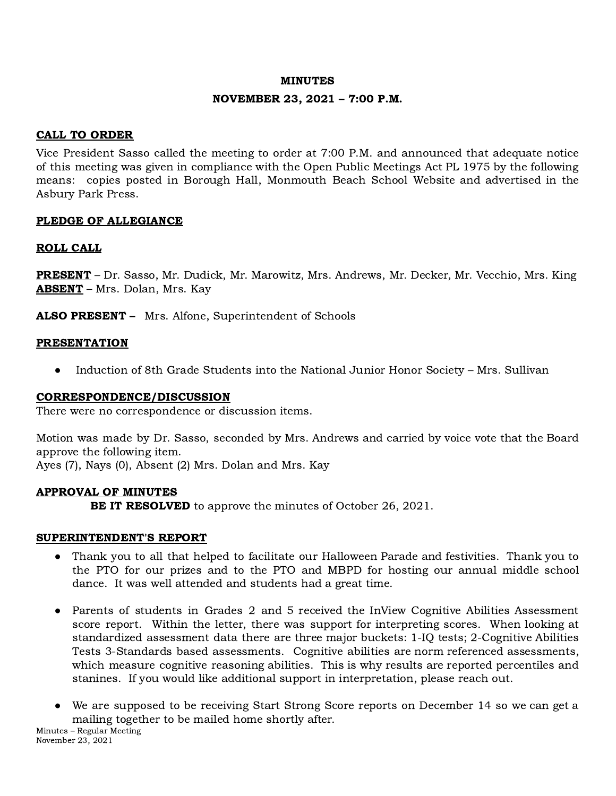### MINUTES

## NOVEMBER 23, 2021 – 7:00 P.M.

# CALL TO ORDER

Vice President Sasso called the meeting to order at 7:00 P.M. and announced that adequate notice of this meeting was given in compliance with the Open Public Meetings Act PL 1975 by the following means: copies posted in Borough Hall, Monmouth Beach School Website and advertised in the Asbury Park Press.

# PLEDGE OF ALLEGIANCE

## ROLL CALL

PRESENT – Dr. Sasso, Mr. Dudick, Mr. Marowitz, Mrs. Andrews, Mr. Decker, Mr. Vecchio, Mrs. King ABSENT – Mrs. Dolan, Mrs. Kay

ALSO PRESENT – Mrs. Alfone, Superintendent of Schools

## **PRESENTATION**

● Induction of 8th Grade Students into the National Junior Honor Society – Mrs. Sullivan

### CORRESPONDENCE/DISCUSSION

There were no correspondence or discussion items.

Motion was made by Dr. Sasso, seconded by Mrs. Andrews and carried by voice vote that the Board approve the following item.

Ayes (7), Nays (0), Absent (2) Mrs. Dolan and Mrs. Kay

### APPROVAL OF MINUTES

**BE IT RESOLVED** to approve the minutes of October 26, 2021.

### SUPERINTENDENT'S REPORT

- Thank you to all that helped to facilitate our Halloween Parade and festivities. Thank you to the PTO for our prizes and to the PTO and MBPD for hosting our annual middle school dance. It was well attended and students had a great time.
- Parents of students in Grades 2 and 5 received the InView Cognitive Abilities Assessment score report. Within the letter, there was support for interpreting scores. When looking at standardized assessment data there are three major buckets: 1-IQ tests; 2-Cognitive Abilities Tests 3-Standards based assessments. Cognitive abilities are norm referenced assessments, which measure cognitive reasoning abilities. This is why results are reported percentiles and stanines. If you would like additional support in interpretation, please reach out.
- We are supposed to be receiving Start Strong Score reports on December 14 so we can get a mailing together to be mailed home shortly after.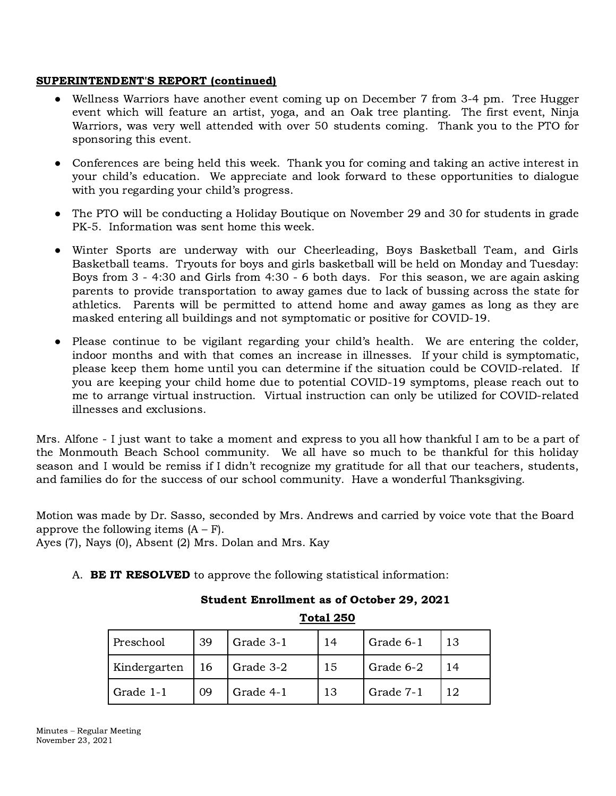# SUPERINTENDENT'S REPORT (continued)

- Wellness Warriors have another event coming up on December 7 from 3-4 pm. Tree Hugger event which will feature an artist, yoga, and an Oak tree planting. The first event, Ninja Warriors, was very well attended with over 50 students coming. Thank you to the PTO for sponsoring this event.
- Conferences are being held this week. Thank you for coming and taking an active interest in your child's education. We appreciate and look forward to these opportunities to dialogue with you regarding your child's progress.
- The PTO will be conducting a Holiday Boutique on November 29 and 30 for students in grade PK-5. Information was sent home this week.
- Winter Sports are underway with our Cheerleading, Boys Basketball Team, and Girls Basketball teams. Tryouts for boys and girls basketball will be held on Monday and Tuesday: Boys from 3 - 4:30 and Girls from 4:30 - 6 both days. For this season, we are again asking parents to provide transportation to away games due to lack of bussing across the state for athletics. Parents will be permitted to attend home and away games as long as they are masked entering all buildings and not symptomatic or positive for COVID-19.
- Please continue to be vigilant regarding your child's health. We are entering the colder, indoor months and with that comes an increase in illnesses. If your child is symptomatic, please keep them home until you can determine if the situation could be COVID-related. If you are keeping your child home due to potential COVID-19 symptoms, please reach out to me to arrange virtual instruction. Virtual instruction can only be utilized for COVID-related illnesses and exclusions.

Mrs. Alfone - I just want to take a moment and express to you all how thankful I am to be a part of the Monmouth Beach School community. We all have so much to be thankful for this holiday season and I would be remiss if I didn't recognize my gratitude for all that our teachers, students, and families do for the success of our school community. Have a wonderful Thanksgiving.

Motion was made by Dr. Sasso, seconded by Mrs. Andrews and carried by voice vote that the Board approve the following items  $(A - F)$ .

Ayes (7), Nays (0), Absent (2) Mrs. Dolan and Mrs. Kay

A. BE IT RESOLVED to approve the following statistical information:

|              |    |           | TULAT 400 |           |    |
|--------------|----|-----------|-----------|-----------|----|
| Preschool    | 39 | Grade 3-1 | 14        | Grade 6-1 | 13 |
| Kindergarten | 16 | Grade 3-2 | 15        | Grade 6-2 | 14 |
| Grade 1-1    | 09 | Grade 4-1 | 13        | Grade 7-1 | 12 |

# Student Enrollment as of October 29, 2021

Total 250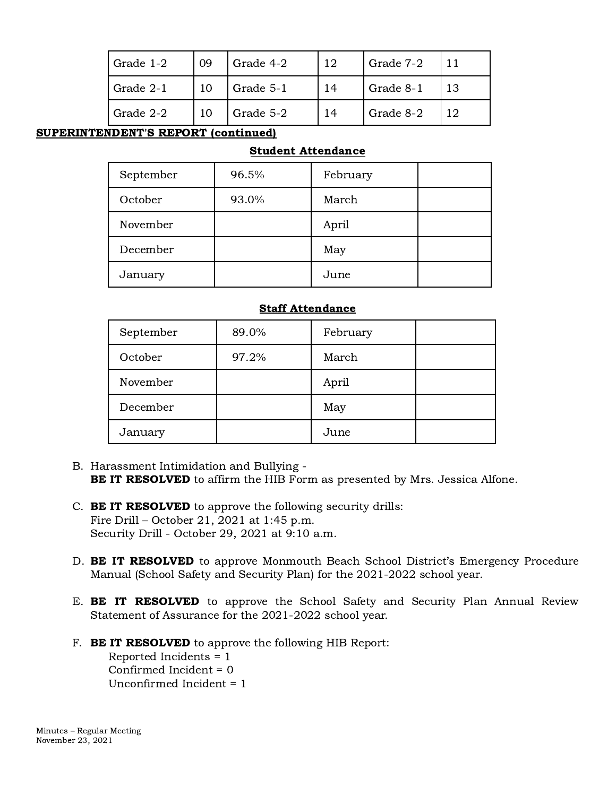| Grade 1-2 | -09 | Grade 4-2 | 12. | Grade 7-2 |  |
|-----------|-----|-----------|-----|-----------|--|
| Grade 2-1 |     | Grade 5-1 | 14  | Grade 8-1 |  |
| Grade 2-2 |     | Grade 5-2 | 14  | Grade 8-2 |  |

# SUPERINTENDENT'S REPORT (continued)

# Student Attendance

| September | 96.5% | February |  |
|-----------|-------|----------|--|
| October   | 93.0% | March    |  |
| November  |       | April    |  |
| December  |       | May      |  |
| January   |       | June     |  |

# Staff Attendance

| September | 89.0% | February |  |
|-----------|-------|----------|--|
| October   | 97.2% | March    |  |
| November  |       | April    |  |
| December  |       | May      |  |
| January   |       | June     |  |

- B. Harassment Intimidation and Bullying BE IT RESOLVED to affirm the HIB Form as presented by Mrs. Jessica Alfone.
- C. BE IT RESOLVED to approve the following security drills: Fire Drill – October 21, 2021 at 1:45 p.m. Security Drill - October 29, 2021 at 9:10 a.m.
- D. **BE IT RESOLVED** to approve Monmouth Beach School District's Emergency Procedure Manual (School Safety and Security Plan) for the 2021-2022 school year.
- E. **BE IT RESOLVED** to approve the School Safety and Security Plan Annual Review Statement of Assurance for the 2021-2022 school year.
- F. **BE IT RESOLVED** to approve the following HIB Report: Reported Incidents = 1 Confirmed Incident = 0

Unconfirmed Incident = 1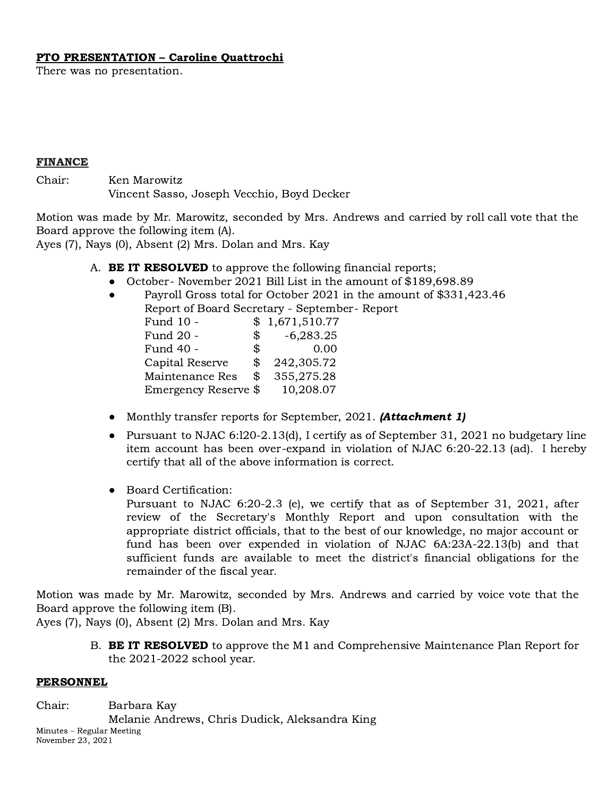## PTO PRESENTATION – Caroline Quattrochi

There was no presentation.

#### FINANCE

Chair: Ken Marowitz Vincent Sasso, Joseph Vecchio, Boyd Decker

Motion was made by Mr. Marowitz, seconded by Mrs. Andrews and carried by roll call vote that the Board approve the following item (A).

Ayes (7), Nays (0), Absent (2) Mrs. Dolan and Mrs. Kay

- A. **BE IT RESOLVED** to approve the following financial reports;
	- October- November 2021 Bill List in the amount of \$189,698.89
	- Payroll Gross total for October 2021 in the amount of \$331,423.46 Report of Board Secretary - September- Report

| Report of Board Secretary - Septembe |               |                |
|--------------------------------------|---------------|----------------|
| Fund 10 -                            |               | \$1,671,510.77 |
| Fund 20 -                            | $\mathcal{S}$ | $-6,283.25$    |
| Fund 40 -                            | \$            | 0.00           |
| Capital Reserve                      | \$            | 242,305.72     |
| Maintenance Res                      | \$            | 355,275.28     |
| Emergency Reserve \$                 |               | 10,208.07      |

- Monthly transfer reports for September, 2021. (**Attachment 1**)
- Pursuant to NJAC 6:120-2.13(d), I certify as of September 31, 2021 no budgetary line item account has been over-expand in violation of NJAC 6:20-22.13 (ad). I hereby certify that all of the above information is correct.
- Board Certification:

Pursuant to NJAC 6:20-2.3 (e), we certify that as of September 31, 2021, after review of the Secretary's Monthly Report and upon consultation with the appropriate district officials, that to the best of our knowledge, no major account or fund has been over expended in violation of NJAC 6A:23A-22.13(b) and that sufficient funds are available to meet the district's financial obligations for the remainder of the fiscal year.

Motion was made by Mr. Marowitz, seconded by Mrs. Andrews and carried by voice vote that the Board approve the following item (B).

Ayes (7), Nays (0), Absent (2) Mrs. Dolan and Mrs. Kay

B. **BE IT RESOLVED** to approve the M1 and Comprehensive Maintenance Plan Report for the 2021-2022 school year.

### PERSONNEL

Chair: Barbara Kay Melanie Andrews, Chris Dudick, Aleksandra King Minutes – Regular Meeting November 23, 2021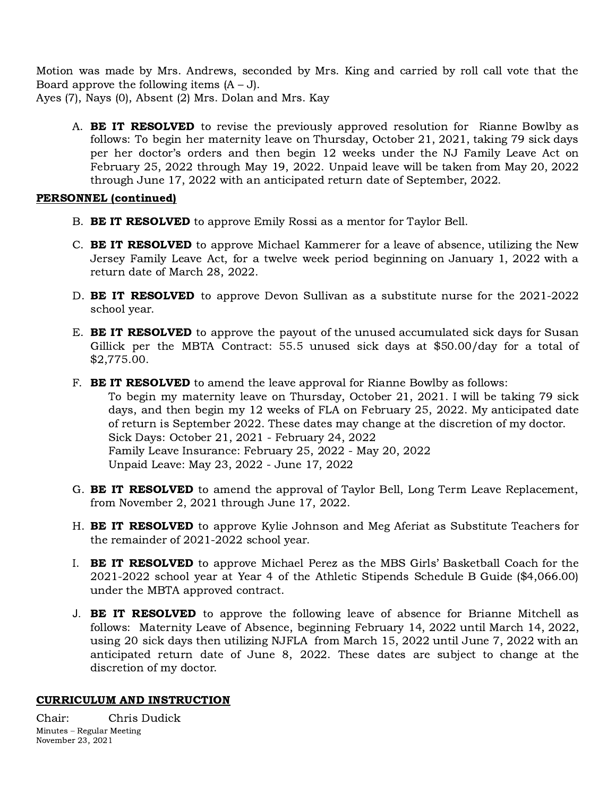Motion was made by Mrs. Andrews, seconded by Mrs. King and carried by roll call vote that the Board approve the following items  $(A – J)$ .

Ayes (7), Nays (0), Absent (2) Mrs. Dolan and Mrs. Kay

A. **BE IT RESOLVED** to revise the previously approved resolution for Rianne Bowlby as follows: To begin her maternity leave on Thursday, October 21, 2021, taking 79 sick days per her doctor's orders and then begin 12 weeks under the NJ Family Leave Act on February 25, 2022 through May 19, 2022. Unpaid leave will be taken from May 20, 2022 through June 17, 2022 with an anticipated return date of September, 2022.

# PERSONNEL (continued)

- B. BE IT RESOLVED to approve Emily Rossi as a mentor for Taylor Bell.
- C. **BE IT RESOLVED** to approve Michael Kammerer for a leave of absence, utilizing the New Jersey Family Leave Act, for a twelve week period beginning on January 1, 2022 with a return date of March 28, 2022.
- D. BE IT RESOLVED to approve Devon Sullivan as a substitute nurse for the 2021-2022 school year.
- E. **BE IT RESOLVED** to approve the payout of the unused accumulated sick days for Susan Gillick per the MBTA Contract: 55.5 unused sick days at \$50.00/day for a total of \$2,775.00.
- F. **BE IT RESOLVED** to amend the leave approval for Rianne Bowlby as follows: To begin my maternity leave on Thursday, October 21, 2021. I will be taking 79 sick days, and then begin my 12 weeks of FLA on February 25, 2022. My anticipated date of return is September 2022. These dates may change at the discretion of my doctor. Sick Days: October 21, 2021 - February 24, 2022 Family Leave Insurance: February 25, 2022 - May 20, 2022 Unpaid Leave: May 23, 2022 - June 17, 2022
- G. **BE IT RESOLVED** to amend the approval of Taylor Bell, Long Term Leave Replacement, from November 2, 2021 through June 17, 2022.
- H. **BE IT RESOLVED** to approve Kylie Johnson and Meg Aferiat as Substitute Teachers for the remainder of 2021-2022 school year.
- I. BE IT RESOLVED to approve Michael Perez as the MBS Girls' Basketball Coach for the 2021-2022 school year at Year 4 of the Athletic Stipends Schedule B Guide (\$4,066.00) under the MBTA approved contract.
- J. **BE IT RESOLVED** to approve the following leave of absence for Brianne Mitchell as follows: Maternity Leave of Absence, beginning February 14, 2022 until March 14, 2022, using 20 sick days then utilizing NJFLA from March 15, 2022 until June 7, 2022 with an anticipated return date of June 8, 2022. These dates are subject to change at the discretion of my doctor.

# CURRICULUM AND INSTRUCTION

Chair: Chris Dudick Minutes – Regular Meeting November 23, 2021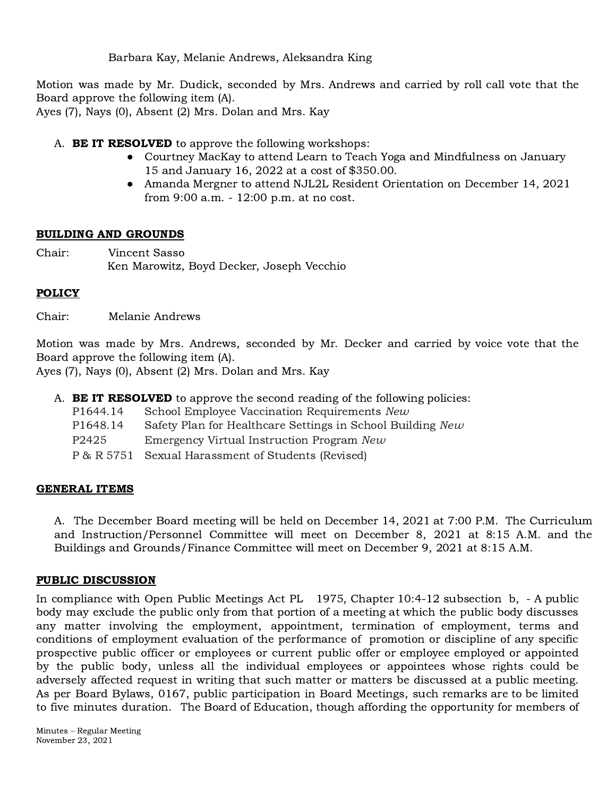Barbara Kay, Melanie Andrews, Aleksandra King

Motion was made by Mr. Dudick, seconded by Mrs. Andrews and carried by roll call vote that the Board approve the following item (A).

Ayes (7), Nays (0), Absent (2) Mrs. Dolan and Mrs. Kay

A. **BE IT RESOLVED** to approve the following workshops:

- Courtney MacKay to attend Learn to Teach Yoga and Mindfulness on January 15 and January 16, 2022 at a cost of \$350.00.
- Amanda Mergner to attend NJL2L Resident Orientation on December 14, 2021 from 9:00 a.m. - 12:00 p.m. at no cost.

# BUILDING AND GROUNDS

Chair: Vincent Sasso Ken Marowitz, Boyd Decker, Joseph Vecchio

# **POLICY**

Chair: Melanie Andrews

Motion was made by Mrs. Andrews, seconded by Mr. Decker and carried by voice vote that the Board approve the following item (A).

Ayes (7), Nays (0), Absent (2) Mrs. Dolan and Mrs. Kay

|                   | A. <b>BE IT RESOLVED</b> to approve the second reading of the following policies: |
|-------------------|-----------------------------------------------------------------------------------|
| P1644.14          | School Employee Vaccination Requirements New                                      |
| P1648.14          | Safety Plan for Healthcare Settings in School Building New                        |
| P <sub>2425</sub> | Emergency Virtual Instruction Program New                                         |
| P & R 5751        | Sexual Harassment of Students (Revised)                                           |

# GENERAL ITEMS

A. The December Board meeting will be held on December 14, 2021 at 7:00 P.M. The Curriculum and Instruction/Personnel Committee will meet on December 8, 2021 at 8:15 A.M. and the Buildings and Grounds/Finance Committee will meet on December 9, 2021 at 8:15 A.M.

# PUBLIC DISCUSSION

In compliance with Open Public Meetings Act PL 1975, Chapter 10:4-12 subsection b, - A public body may exclude the public only from that portion of a meeting at which the public body discusses any matter involving the employment, appointment, termination of employment, terms and conditions of employment evaluation of the performance of promotion or discipline of any specific prospective public officer or employees or current public offer or employee employed or appointed by the public body, unless all the individual employees or appointees whose rights could be adversely affected request in writing that such matter or matters be discussed at a public meeting. As per Board Bylaws, 0167, public participation in Board Meetings, such remarks are to be limited to five minutes duration. The Board of Education, though affording the opportunity for members of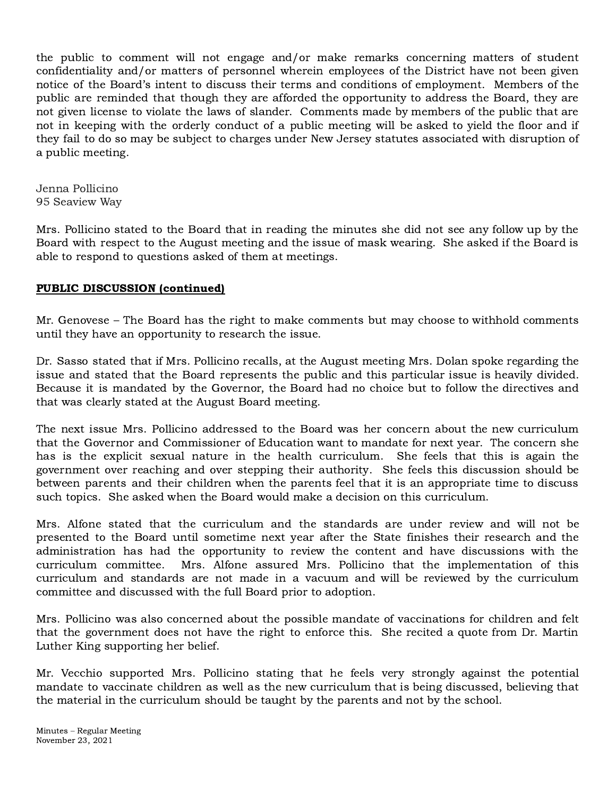the public to comment will not engage and/or make remarks concerning matters of student confidentiality and/or matters of personnel wherein employees of the District have not been given notice of the Board's intent to discuss their terms and conditions of employment. Members of the public are reminded that though they are afforded the opportunity to address the Board, they are not given license to violate the laws of slander. Comments made by members of the public that are not in keeping with the orderly conduct of a public meeting will be asked to yield the floor and if they fail to do so may be subject to charges under New Jersey statutes associated with disruption of a public meeting.

Jenna Pollicino 95 Seaview Way

Mrs. Pollicino stated to the Board that in reading the minutes she did not see any follow up by the Board with respect to the August meeting and the issue of mask wearing. She asked if the Board is able to respond to questions asked of them at meetings.

# PUBLIC DISCUSSION (continued)

Mr. Genovese – The Board has the right to make comments but may choose to withhold comments until they have an opportunity to research the issue.

Dr. Sasso stated that if Mrs. Pollicino recalls, at the August meeting Mrs. Dolan spoke regarding the issue and stated that the Board represents the public and this particular issue is heavily divided. Because it is mandated by the Governor, the Board had no choice but to follow the directives and that was clearly stated at the August Board meeting.

The next issue Mrs. Pollicino addressed to the Board was her concern about the new curriculum that the Governor and Commissioner of Education want to mandate for next year. The concern she has is the explicit sexual nature in the health curriculum. She feels that this is again the government over reaching and over stepping their authority. She feels this discussion should be between parents and their children when the parents feel that it is an appropriate time to discuss such topics. She asked when the Board would make a decision on this curriculum.

Mrs. Alfone stated that the curriculum and the standards are under review and will not be presented to the Board until sometime next year after the State finishes their research and the administration has had the opportunity to review the content and have discussions with the curriculum committee. Mrs. Alfone assured Mrs. Pollicino that the implementation of this curriculum and standards are not made in a vacuum and will be reviewed by the curriculum committee and discussed with the full Board prior to adoption.

Mrs. Pollicino was also concerned about the possible mandate of vaccinations for children and felt that the government does not have the right to enforce this. She recited a quote from Dr. Martin Luther King supporting her belief.

Mr. Vecchio supported Mrs. Pollicino stating that he feels very strongly against the potential mandate to vaccinate children as well as the new curriculum that is being discussed, believing that the material in the curriculum should be taught by the parents and not by the school.